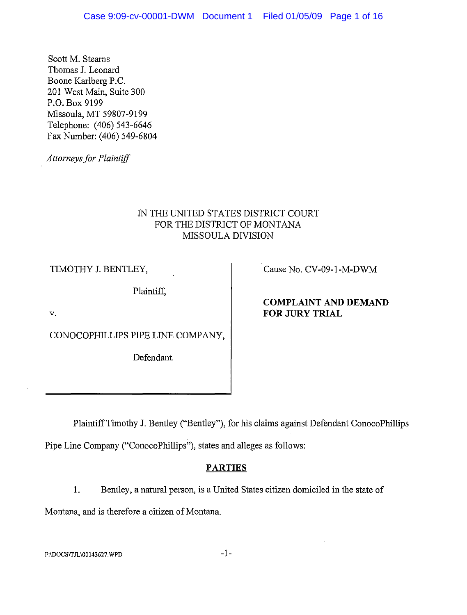Scott M. Stearns Thomas 1. Leonard Boone Karlberg P.C. 201 West Main, Suite 300 P.O. Box 9199 Missoula, MT 59807-9199 Telephone: (406) 543-6646 Fax Number: (406) 549-6804

*Attorneys for Plaintiff* 

# IN THE UNITED STATES DISTRICT COURT FOR THE DISTRICT OF MONTANA MISSOULA DIVISION

TIMOTHY J. BENTLEY,

Plaintiff,

Cause No. CV-09-I-M-DWM

# **COMPLAINT AND DEMAND FOR JURY TRIAL**

v.

CONOCOPHILLIPS PIPE LINE COMPANY,

Defendant.

Plaintiff Timothy J. Bentley ("Bentley"), for his claims against Defendant ConocoPhillips Pipe Line Company ("ConocoPhillips"), states and alleges as follows:

# **PARTIES**

I. Bentley, a natural person, is a United States citizen domiciled in the state of

Montana, and is therefore a citizen of Montana.

F:IDOCSITJLIOOI43627.WPD **-1-**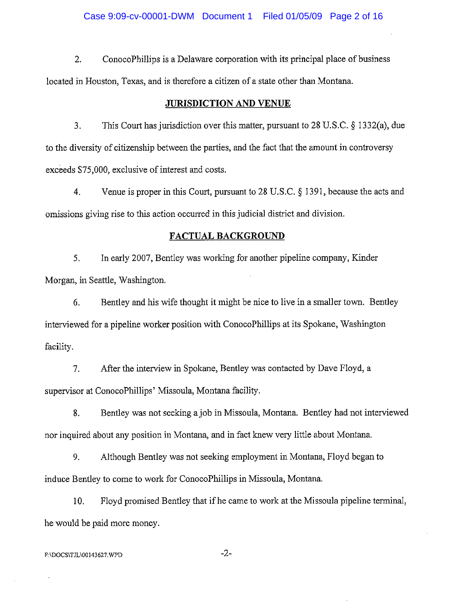2. ConocoPhillips is a Delaware corporation with its principal place of business located in Houston, Texas, and is therefore a citizen of a state other than Montana.

#### **JURISDICTION AND VENUE**

3. This Court has jurisdiction over this matter, pursuant to 28 U.S.C. § 1332(a), due to the diversity of citizenship between the parties, and the fact that the amount in controversy exceeds \$75,000, exclusive of interest and costs.

4. Venue is proper in this Court, pursuant to 28 U.S.C. § 1391, because the acts and omissions giving rise to this action occurred in this judicial district and division.

### **FACTUAL BACKGROUND**

5. In early 2007, Bentley was working for another pipeline company, Kinder Morgan, in Seattle, Washington.

6. Bentley and his wife thought it might be nice to live in a smaller town. Bentley interviewed for a pipeline worker position with ConocoPhillips at its Spokane, Washington facility.

7. After the interview in Spokane, Bentley was contacted by Dave Floyd, a supervisor at ConocoPhillips' Missoula, Montana facility.

8. Bentley was not seeking ajob in Missoula, Montana. Bentley had not interviewed nor inquired about any position in Montana, and in fact lmew very little about Montana.

9. Although Bentley was not seeking employment in Montana, Floyd began to induce Bentley to come to work for ConocoPhillips in Missoula, Montana.

10. Floyd promised Bentley that if he came to work at the Missoula pipeline terminal, he would be paid more money.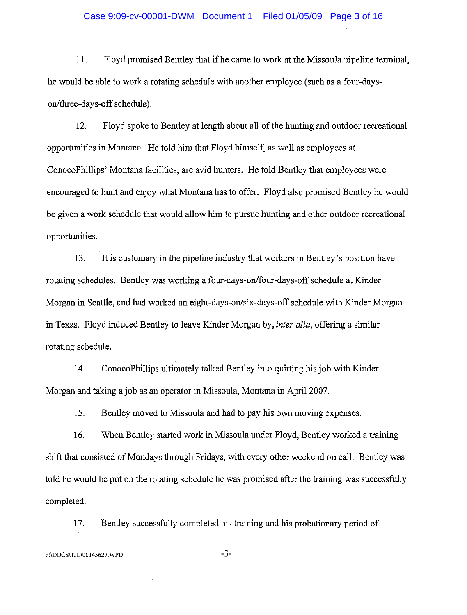### Case 9:09-cv-00001-DWM Document 1 Filed 01/05/09 Page 3 of 16

11. Floyd promised Bentley that if he came to work at the Missoula pipeline terminal, he would be able to work a rotating schedule with another employee (such as a four-dayson/three-days-off schedule).

12. Floyd spoke to Bentley at length about all of the hunting and outdoor recreational opportunities in Montana. He told him that Floyd himself, as well as employees at ConocoPhillips' Montana facilities, are avid hunters. He told Bentley that employees were encouraged to hunt and enjoy what Montana has to offer. Floyd also promised Bentley he would be given a work schedule that would allow him to pursue hunting and other outdoor recreational opportunities.

13. It is customary in the pipeline industry that workers in Bentley's position have rotating schedules. Bentley was working a four-days-on/four-days-off schedule at Kinder Morgan in Seattle, and had worked an eight-days-on/six-days-off schedule with Kinder Morgan in Texas. Floyd induced Bentley to leave Kinder Morgan by, *inter alia,* offering a similar rotating schedule.

14. ConocoPhilIips ultimately talked Bentley into quitting his job with Kinder Morgan and taking a job as an operator in Missoula, Montana in April 2007.

15. Bentley moved to Missoula and had to pay his own moving expenses.

16. When Bentley started work in Missoula under Floyd, Bentley worked a training shift that consisted of Mondays through Fridays, with every other weekend on call. Bentley was told he would be put on the rotating schedule he was promised after the training was successfully completed.

17. Bentley successfully completed his training and his probationary period of

F:\DOCS\TJL\00143627.WPD -3-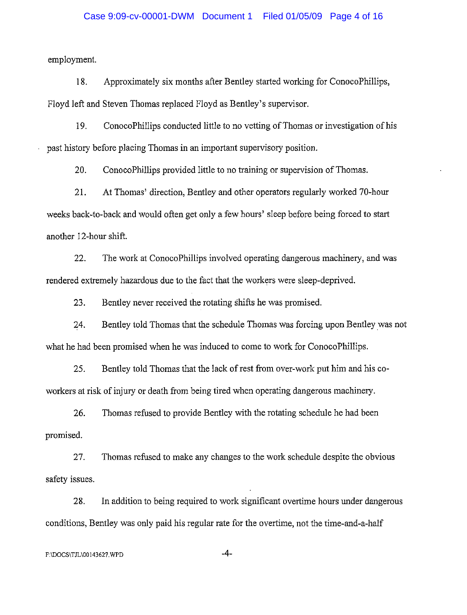### Case 9:09-cv-00001-DWM Document 1 Filed 01/05/09 Page 4 of 16

employment.

18. Approximately six months after Bentley started working for ConocoPhillips, Floyd left and Steven Thomas replaced Floyd as Bentley's supervisor.

19. ConocoPhillips conducted little to no vetting of Thomas or investigation of his past history before placing Thomas in an important supervisory position.

20. ConocoPhillips provided little to no training or supervision of Thomas.

21. At Thomas' direction, Bentley and other operators regularly worked 70-hour weeks back-to-back and would often get only a few hours' sleep before being forced to start another 12-hour shift.

22. The work at ConocoPhillips involved operating dangerous machinery, and was rendered extremely hazardous due to the fact that the workers were sleep-deprived.

23. Bentley never received the rotating shifts he was promised.

24. Bentley told Thomas that the schedule Thomas was forcing upon Bentley was not what he had been promised when he was induced to come to work for ConocoPhillips.

25. Bentley told Thomas that the lack of rest from over-work put him and his coworkers at risk of injury or death from being tired when operating dangerous machinery.

26. Thomas refused to provide Bentley with the rotating schedule he had been promised.

27. Thomas refused to make any changes to the work schedule despite the obvious safety issues.

28. In addition to being required to work significant overtime hours under dangerous conditions, Bentley was only paid his regular rate for the overtime, not the time-and-a-half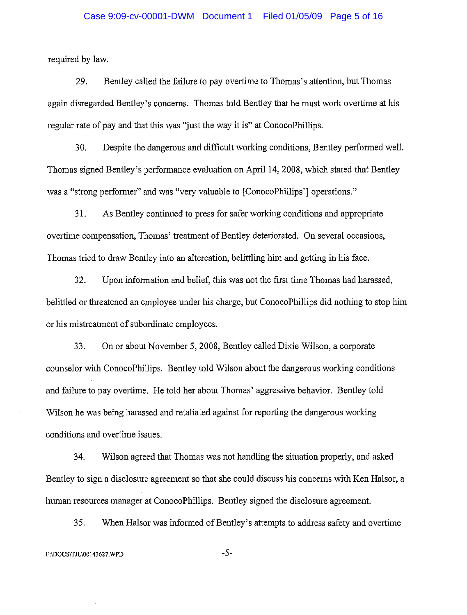### Case 9:09-cv-00001-DWM Document 1 Filed 01/05/09 Page 5 of 16

required by law.

29. Bentley called the failure to pay overtime to Thomas's attention, but Thomas again disregarded Bentley's concems. Thomas told Bentley that he must work overtime at his regular rate of pay and that this was "just the way it is" at ConocoPhillips.

30. Despite the dangerous and difficult working conditions, Bentley perfonned well. Thomas signed Bentley's performance evaluation on April 14, 2008, which stated that Bentley was a "strong performer" and was "very valuable to [ConocoPhillips'] operations."

31. As Bentley continued to press for safer working conditions and appropriate overtime compensation, Thomas' treatment of Bentley deteriorated. On several occasions, Thomas tried to draw Bentley into an altercation, belittling him and getting in his face.

32. Upon information and belief, this was not the first time Thomas had harassed, belittled or threatened an employee under his charge, but ConocoPhillips did nothing to stop him or his mistreatment of subordinate employees.

33. On or about November 5, 2008, Bentley called Dixie Wilson, a corporate counselor with ConocoPhillips. Bentley told Wilson about the dangerous working conditions and failure to pay overtime. He told her about Thomas' aggressive behavior. Bentley told Wilson he was being harassed and retaliated against for reporting the dangerous working conditions and overtime issues.

34. Wilson agreed that Thomas was not handling the situation properly, and asked Bentley to sign a disclosure agreement so that she could discuss his concerns with Ken Halsor, a hwnan resources manager at ConocoPhillips. Bentley signed the disclosure agreement.

35. When Halsor was infonned of Bentley's attempts to address safety and overtime

F:\DOCS\TJL\00143627.WPD -5-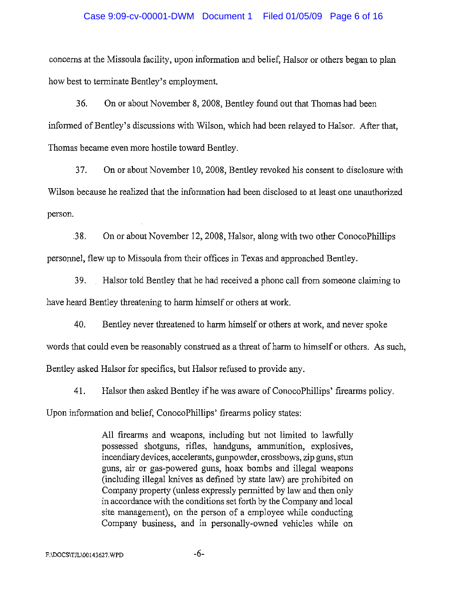### Case 9:09-cv-00001-DWM Document 1 Filed 01/05/09 Page 6 of 16

concerns at the Missoula facility, upon information and belief, Halsor or others began to plan how best to terminate Bentley's employment.

36. On or about November 8, 2008, Bentley found out that Thomas had been informed of Bentley's discussions with Wilson, which had been relayed to Halsor. After that, Thomas became even more hostile toward Bentley.

37. On or about November 10, 2008, Bentley revoked his consent to disclosure with Wilson because he realized that the information had been disclosed to at least one unauthorized person.

.38. On or about November 12, 2008, Halsor, along with two other ConocoPhillips personnel, flew up to Missoula from their offices in Texas and approached Bentley.

39. Halsor told Bentley that he had received a phone call from someone claiming to have heard Bentley threatening to harm himself or others at work.

40. Bentley never threatened to harm himself or others at work, and never spoke

words that could even be reasonably construed as a threat of harm to himself or others. As such,

Bentley asked Halsor for specifics, but Halsor refused to provide any.

41. Halsor then asked Bentley if he was aware of ConocoPhillips' firearms policy.

Upon information and belief, ConocoPhillips' firearms policy states:

All firearms and weapons, including but not limited to lawfully possessed shotguns, rifles, handguns, ammunition, explosives, incendiary devices, accelerants, gunpowder, crossbows, zip guns, stun guns, air or gas-powered guns, hoax bombs and illegal weapons (including illegal knives as defined by state law) are prohibited on Company property (unless expressly pennitted by law and then only in accordance with the conditions set forth by the Company and local site management), on the person of a employee while conducting Company business, and in personally-owned vehicles while on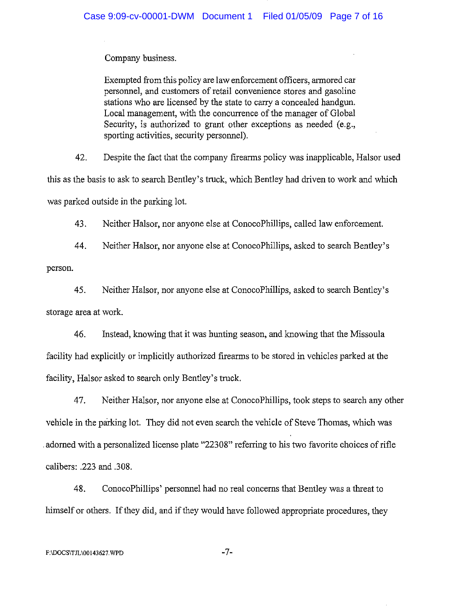Company business.

Exempted from this policy are law enforcement officers, armored car personnel, and customers of retail convenience stores and gasoline stations who are licensed by the state to carry a concealed handgun. Local management, with the concurrence of the manager of Global Security, is authorized to grant other exceptions as needed (e.g., sporting activities, security personnel).

42. Despite the fact that the company firearms policy was inapplicable, Halsor used this as the basis to ask to search Bentley's truck, which Bentley had driven to work and which was parked outside in the parking lot.

43. Neither Halsor, nor anyone else at ConocoPhillips, called law enforcement.

44. Neither Halsor, nor anyone else at ConocoPhillips, asked to search Bentley's person.

45. Neither Halsor, nor anyone else at ConocoPhillips, asked to search Bentley's storage area at work.

46. Instead, Imowing that it was hunting season, and knowing that the Missoula facility had explicitly or implicitly authorized firearms to be stored in vehicles parked at the facility, Halsor asked to search only Bentley's truck.

47. Neither Halsor, nor anyone else at ConocoPhillips, took steps to search any other vehicle in the parking lot. They did not even search the vehicle of Steve Thomas, which was adorned with a personalized license plate "22308" referring to his two favorite choices of rifle calibers: .223 and .308.

48. ConocoPhillips' personnel had no real concerns that Bentley was a threat to himself or others. If they did, and if they would have followed appropriate procedures, they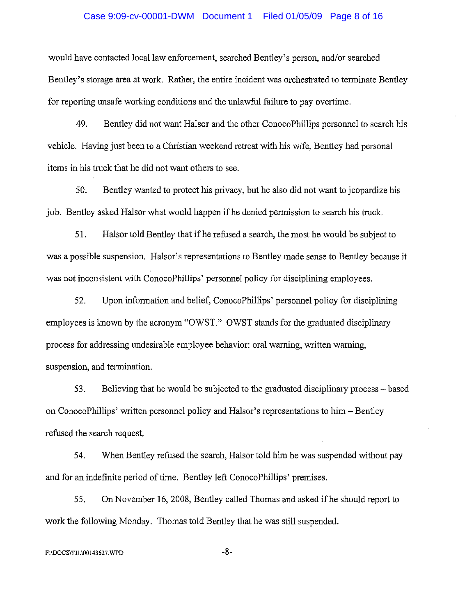#### Case 9:09-cv-00001-DWM Document 1 Filed 01/05/09 Page 8 of 16

would have contacted local law enforcement, searched Bentley's person, and/or searched Bentley's storage area at work. Rather, the entire incident was orchestrated to terminate Bentley for reporting unsafe working conditions and the unlawful failure to pay overtime.

49. Bentley did not want Halsor and the other ConocoPhillips personnel to search his vehicle. Having just been to a Christian weekend retreat with his wife, Bentley had personal items in his truck that he did not want others to see.

50. Bentley wanted to protect his privacy, but he also did not want to jeopardize his job. Bentley asked Halsor what would happen if he denied permission to search his truck.

51. Halsor told Bentley that if he refused a search, the most he would be subject to was a possible suspension. Halsor's representations to Bentley made sense to Bentley because it was not inconsistent with ConocoPhillips' personnel policy for disciplining employees.

52. Upon information and belief, ConocoPhillips' personnel policy for disciplining employees is known by the acronym "OWST." OWST stands for the graduated disciplinary process for addressing undesirable employee behavior: oral warning, written warning, suspension, and termination.

53. Believing that he would be subjected to the graduated disciplinary process – based on ConocoPhillips' written personnel policy and Halsor's representations to him - Bentley refused the search request.

54. When Bentley refused the search, Halsor told him he was suspended without pay and for an indefinite period of time. Bentley left ConocoPhillips' premises.

55. On November 16, 2008, Bentley called Thomas and asked ifhe should report to work the following Monday. Thomas told Bentley that he was still suspended.

F:\DOCS\TJL\00143627.WPD -8-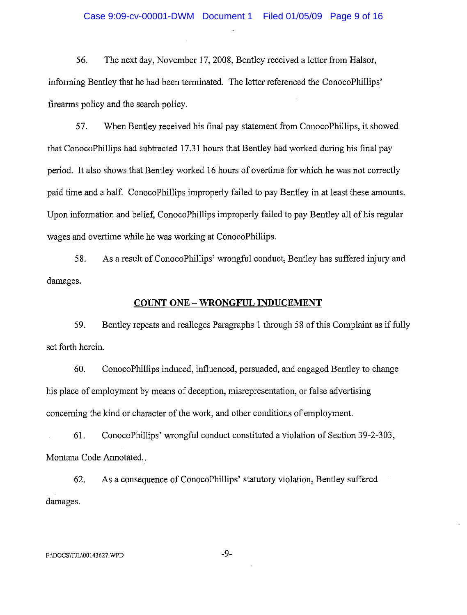56. The next day, November 17, 2008, Bentley received a letter from Balsor, informing Bentley that he had been terminated. The letter referenced the ConocoPhillips' firearms policy and the search policy.

57. When Bentley received his final pay statement from ConocoPhillips, it showed that ConocoPhillips had subtracted 17.31 hours that Bentley had worked during his final pay period. It also shows that Bentley worked 16 hours of overtime for which he was not correctly paid time and a half. ConocoPhillips improperly failed to pay Bentley in at least these amounts. Upon information and belief, ConocoPhillips improperly failed to pay Bentley all of his regular wages and overtime while he was working at ConocoPhillips.

58. As a result of ConocoPhillips' wrongful conduct, Bentley has suffered injury and damages.

### **COUNT ONE - WRONGFUL INDUCEMENT**

59. Bentley repeats and realleges Paragraphs 1 through 58 of this Complaint as if fully set forth herein.

60. ConocoPllillips induced, influenced, persuaded, and engaged Bentley to change his place of employment by means of deception, misrepresentation, or false advertising concerning the kind or character of the work, and other conditions of employment.

61. ConocoPhillips' wrongful conduct constituted a violation of Section 39-2-303, Montana Code Annotated..

62. As a consequence of ConocoPhillips' statutory violation, Bentley suffered damages.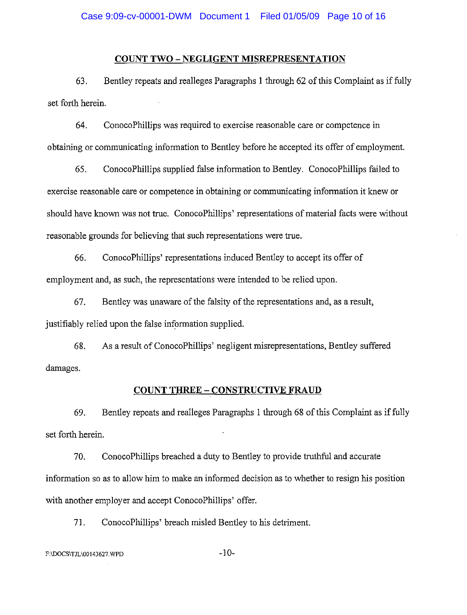## **COUNT TWO - NEGLIGENT MISREPRESENTATION**

63. Bentley repeats and realleges Paragraphs I through 62 of this Complaint as if fully set forth herein.

64. ConocoPhillips was required to exercise reasonable care or competence in obtaining or communicating information to Bentley before he accepted its offer of employment.

65. ConocoPhillips supplied false information to Bentley. ConocoPhillips failed to exercise reasonable care or competence in obtaining or communicating information it knew or should have known was not true. ConocoPhillips' representations of material facts were without reasonable grounds for believing that such representations were true.

66. ConocoPhillips' representations induced Bentley to accept its offer of employment and, as such, the representations were intended to be relied upon.

67. Bentley was unaware of the falsity of the representations and, as a result, justifiably relied upon the false information supplied.

68. As a result of ConocoPhillips' negligent misrepresentations, Bentley suffered damages.

## **COUNT THREE - CONSTRUCTIVE FRAUD**

69. Bentley repeats and realleges Paragraphs I tlrrough 68 of this Complaint as if fully set forth herein.

70. ConocoPhillips breached a duty to Bentley to provide truthful and accurate information so as to allow him to make an informed decision as to whether to resign his position with another employer and accept ConocoPhillips' offer.

71. ConocoPhillips' breach misled Bentley to his detriment.

# $F:\D{DOCS}\T{JL}00143627.\W{PD}$  -10-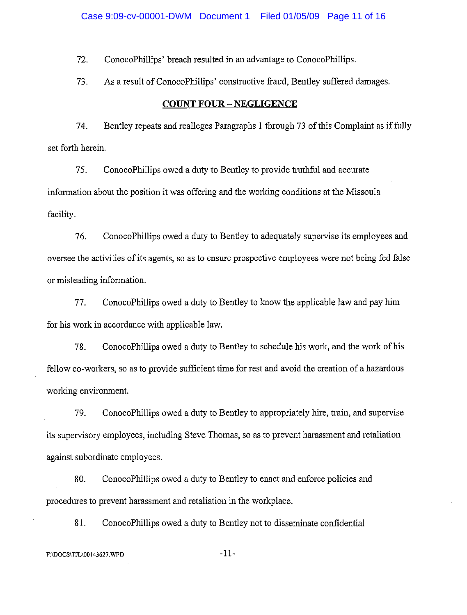72. ConocoPhillips' breach resulted in an advantage to ConocoPhillips.

73. As a result of ConocoPhillips' constructive fraud, Bentley suffered damages.

#### **COUNT FOUR - NEGLIGENCE**

74. Bentley repeats and realleges Paragraphs 1 through 73 of this Complaint as iffully set forth herein.

75. ConocoPhillips owed a duty to Bentley to provide truthful and accurate information about the position it was offering and the working conditions at the Missoula facility.

76. ConocoPhillips owed a duty to Bentley to adequately supervise its employees and oversee the activities of its agents, so as to ensure prospective employees were not being fed false or misleading information.

77. ConocoPhillips owed a duty to Bentley to know the applicable law and pay him for his work in accordance with applicable law.

78. ConocoPhillips owed a duty to Bentley to schedule his work, and the work of his fellow co-workers, so as to provide sufficient time for rest and avoid the creation of a hazardous working environment.

79. ConocoPhillips owed a duty to Bentley to appropriately hire, train, and supervise its supervisory employees, including Steve Thomas, so as to prevent harassment and retaliation against subordinate employees.

80. ConocoPhillips owed a duty to Bentley to enact and enforce policies and procedures to prevent harassment and retaliation in the workplace.

81. ConocoPhillips owed a duty to Bentley not to disseminate confidential

# F:\DOCS\TJL\00143627.WPD -11-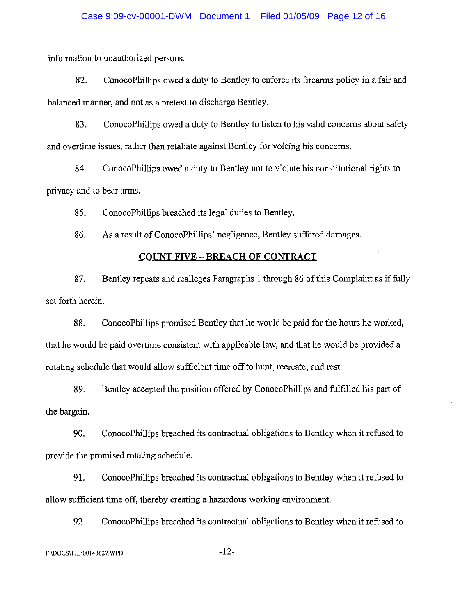information to unauthorized persons.

82. ConocoPhillips owed a duty to Bentley to enforce its firearms policy in a fair and balanced manner, and not as a pretext to discharge Bentley.

83. ConocoPhillips owed a duty to Bentley to listen to his valid concems about safety and overtime issues, rather than retaliate against Bentley for voicing his concems.

84. ConocoPhiIIips owed a duty to Bentley not to violate his constitutional rights to privacy and to bear arms.

85. ConocoPhillips breached its legal duties to Bentley.

86. As a result of ConocoPhiIlips' negligence, Bentley suffered damages.

## **COUNT FIVE - BREACH OF CONTRACT**

87. Bentley repeats and realleges Paragraphs 1 through 86 of this Complaint as iffully set forth herein.

88. ConocoPhillips promised Bentley that he would be paid for the hours he worked, that he would be paid overtime consistent with applicable law, and that he would be provided a rotating schedule that would allow sufficient time off to hunt, recreate, and rest.

89. Bentley accepted the position offered by ConocoPhillips and fulfilled his part of the bargain.

90. ConocoPhiIIips breached its contractual obligations to Bentley when it refused to provide the promised rotating schedule.

91. ConocoPhiIIips breached its contractual obligations to Bentley when it refused to allow sufficient time off, thereby creating a hazardous working environment.

92 ConocoPhiIIips breached its contractual obligations to Bentley when it refused to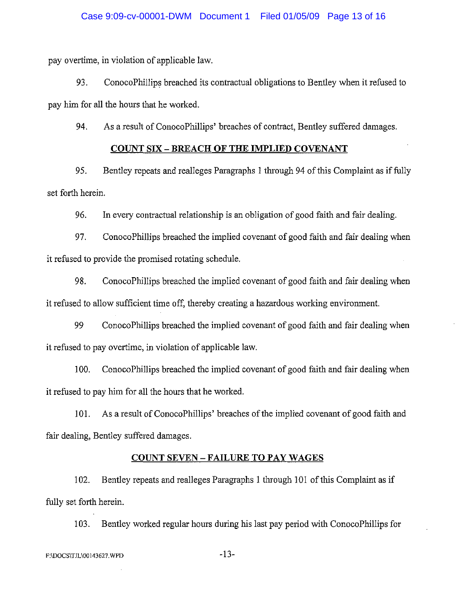pay overtime, in violation of applicable law.

93. ConocoPhillips breached its contractual obligations to Bentley when it refused to pay him for all the hours that he worked.

94. As a result of ConocoPhillips' breaches of contract, Bentley suffered damages.

## **COUNT SIX - BREACH OF THE IMPLIED COVENANT**

95. Bentley repeats and realleges Paragraphs 1 through 94 of this Complaint as if fully set forth herein.

96. In every contractual relationship is an obligation of good faith and fair dealing.

97. ConocoPhillips breached the implied covenant of good faith and fair dealing when it refused to provide the promised rotating schedule.

98. ConocoPhillips breached the implied covenant of good faith and fair dealing when it refused to allow sufficient time off, thereby creating a hazardous working environment.

99 ConocoPhillips breached the implied covenant of good faith and fair dealing when it refused to pay overtime, in violation of applicable law.

100. ConocoPhillips breached the implied covenant of good faith and fair dealing when it refused to pay him for all the hours that he worked.

101. As a result of ConocoPhillips' breaches of the implied covenant of good faith and fair dealing, Bentley suffered damages.

## **COUNT SEVEN -FAILURE TO** PAY WAGES

102. Bentley repeats and realleges Paragraphs 1 through 101 of this Complaint as if fully set forth herein.

103. Bentley worked regular hours during his last pay period with ConocoPhillips for

F:\DOCS\TJL\00143627.WPD -13-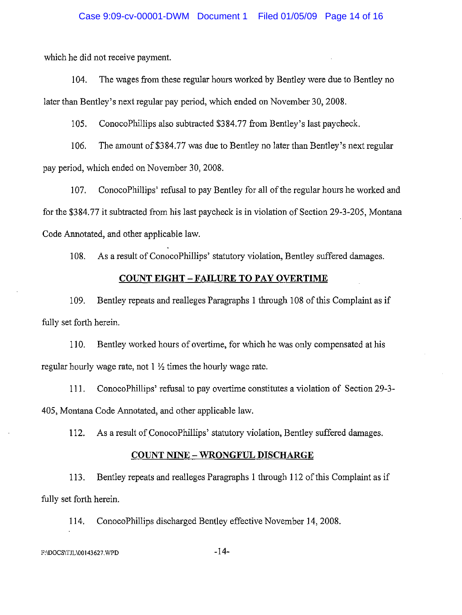which he did not receive payment.

104. The wages from these regular hours worked by Bentley were due to Bentley no later than Bentley's next regular pay period, which ended on November 30, 2008.

lOS. ConocoPhillips also subtracted \$384.77 from Bentley's last paycheck.

106. The amount of\$384.77 was due to Bentley no later than Bentley's next regular pay period, which ended on November 30,2008.

107. ConocoPhillips' refusal to pay Bentley for all of the regular hours he worked and for the \$384.77 it subtracted from his last paycheck is in violation of Section 29-3-205, Montana Code Annotated, and other applicable law.

108. As a result of ConocoPhillips' statutory violation, Bentley suffered damages.

# **COUNT EIGHT -FAILURE TO PAY OVERTIME**

109. Bentley repeats and realleges Paragraphs 1 through 108 of this Complaint as if fully set forth herein.

110. Bentley worked hours of overtime, for which he was only compensated at his regular hourly wage rate, not 1  $\frac{1}{2}$  times the hourly wage rate.

III. ConocoPhillips' refusal to pay overtime constitutes a violation of Section 29-3- 405, Montana Code Annotated, and other applicable law.

112. As a result of ConocoPhillips' statutory violation, Bentley suffered damages.

## **COUNT NINE - WRONGFUL DISCHARGE**

113. Bentley repeats and realleges Paragraphs I through 112 of this Complaint as if fully set forth herein.

114. ConocoPhillips discharged Bentley effective November 14, 2008.

F:\DOCS\TJL\00143627.WPD -14-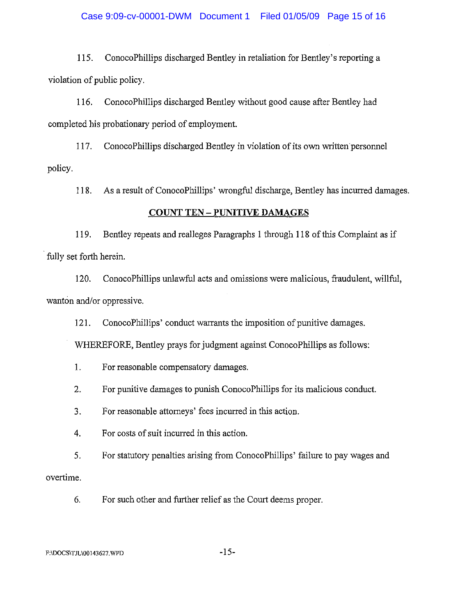lIS. ConocoPhillips discharged Bentley in retaliation for Bentley's reporting a violation of public policy.

116. ConocoPhillips discharged Bentley without good cause after Bentley had completed his probationary period of employment.

117. ConocoPhillips discharged Bentley in violation of its own written personnel policy.

118. As a result of ConocoPhillips' wrongful discharge, Bentley has incurred damages.

# **COUNT TEN - PUNITIVE DAMAGES**

119. Bentley repeats and realleges Paragraphs I through 118 of this Complaint as if fully set forth herein.

120. ConocoPhillips unlawful acts and omissions were malicious, fraudulent, willful, wanton and/or oppressive.

121. ConocoPhillips' conduct warrants the imposition of punitive damages.

WHEREFORE, Bentley prays for judgment against ConocoPhillips as follows:

- 1. For reasonable compensatory damages.
- 2. For punitive damages to punish ConocoPhillips for its malicious conduct.
- 3. For reasonable attorneys' fees incurred in this action.
- 4. For costs of suit incurred in this action.
- 5. For statutory penalties arising from ConocoPhillips' failure to pay wages and

overtime.

6. For such other and further relief as the Court deems proper.